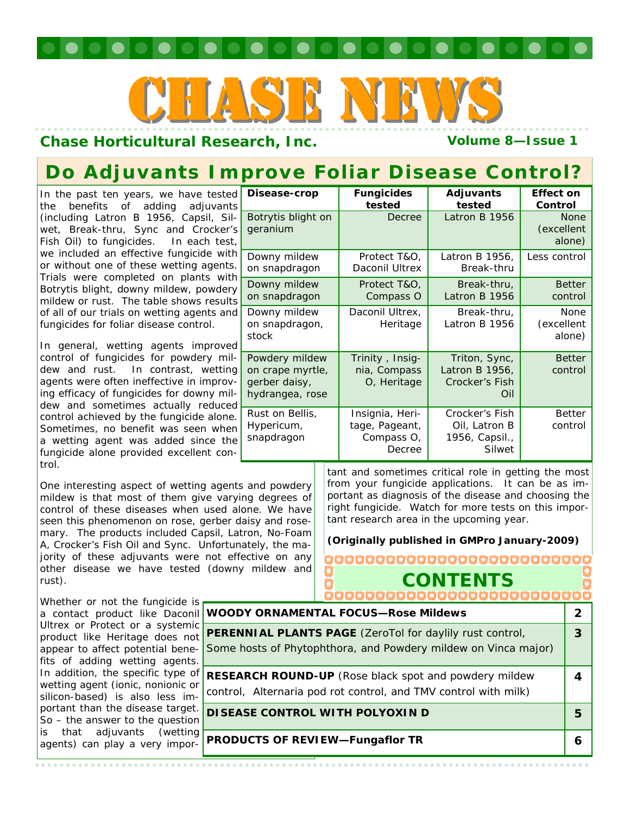# CHASE NEWS

### **Chase Horticultural Research, Inc.** The Colume 8-Issue 1

# **Do Adjuvants Improve Foliar Disease Control?**

In the past ten years, we have tested the benefits of adding adjuvants (including Latron B 1956, Capsil, Silwet, Break-thru, Sync and Crocker's Fish Oil) to fungicides. In each test, we included an effective fungicide with or without one of these wetting agents. Trials were completed on plants with Botrytis blight, downy mildew, powdery mildew or rust. The table shows results of all of our trials on wetting agents and fungicides for foliar disease control.

In general, wetting agents improved control of fungicides for powdery mildew and rust. In contrast, wetting agents were often ineffective in improving efficacy of fungicides for downy mildew and sometimes actually reduced control achieved by the fungicide alone. Sometimes, no benefit was seen when a wetting agent was added since the fungicide alone provided excellent control.

One interesting aspect of wetting agents and powdery mildew is that most of them give varying degrees of control of these diseases when used alone. We have seen this phenomenon on rose, gerber daisy and rosemary. The products included Capsil, Latron, No-Foam A, Crocker's Fish Oil and Sync. Unfortunately, the majority of these adjuvants were not effective on any other disease we have tested (downy mildew and rust).

Whether or not the fungicide is a contact product like Daconil Ultrex or Protect or a systemic product like Heritage does not appear to affect potential benefits of adding wetting agents. In addition, the specific type of wetting agent (ionic, nonionic or silicon-based) is also less important than the disease target. So – the answer to the question is that adjuvants (wetting agents) can play a very impor-

| Disease-crop                                                           | <b>Fungicides</b><br>tested                               | Adjuvants<br>tested                                         | <b>Effect on</b><br>Control         |  |  |
|------------------------------------------------------------------------|-----------------------------------------------------------|-------------------------------------------------------------|-------------------------------------|--|--|
| Botrytis blight on<br>geranium                                         | Decree                                                    | Latron B 1956                                               | <b>None</b><br>(excellent<br>alone) |  |  |
| Downy mildew<br>on snapdragon                                          | Protect T&O,<br>Daconil Ultrex                            | Latron B 1956,<br>Break-thru                                | Less control                        |  |  |
| Downy mildew<br>on snapdragon                                          | Protect T&O,<br>Compass O                                 | Break-thru,<br>Latron B 1956                                | <b>Better</b><br>control            |  |  |
| Downy mildew<br>on snapdragon,<br>stock                                | Daconil Ultrex,<br>Heritage                               | Break-thru,<br>Latron B 1956                                | None<br>(excellent<br>alone)        |  |  |
| Powdery mildew<br>on crape myrtle,<br>gerber daisy,<br>hydrangea, rose | Trinity, Insig-<br>nia, Compass<br>O, Heritage            | Triton, Sync,<br>Latron B 1956,<br>Crocker's Fish<br>Oil    | <b>Better</b><br>control            |  |  |
| Rust on Bellis,<br>Hypericum,<br>snapdragon                            | Insignia, Heri-<br>tage, Pageant,<br>Compass O,<br>Decree | Crocker's Fish<br>Oil, Latron B<br>1956, Capsil.,<br>Silwet | <b>Better</b><br>control            |  |  |

tant and sometimes critical role in getting the most from your fungicide applications. It can be as important as diagnosis of the disease and choosing the right fungicide. Watch for more tests on this important research area in the upcoming year.

**(Originally published in GMPro January-2009)**

### ,,,,,,,,,,,,,,,,,,,,,,,,,,,,,,, Õ **CONTENTS WOODY ORNAMENTAL FOCUS—Rose Mildews 2 PERENNIAL PLANTS PAGE** (ZeroTol for daylily rust control, **3**  Some hosts of Phytophthora, and Powdery mildew on *Vinca major*) **RESEARCH ROUND-UP** (Rose black spot and powdery mildew **4**  control, Alternaria pod rot control, and TMV control with milk) **DISEASE CONTROL WITH POLYOXIN D** 5 **PRODUCTS OF REVIEW—Fungaflor TR** 6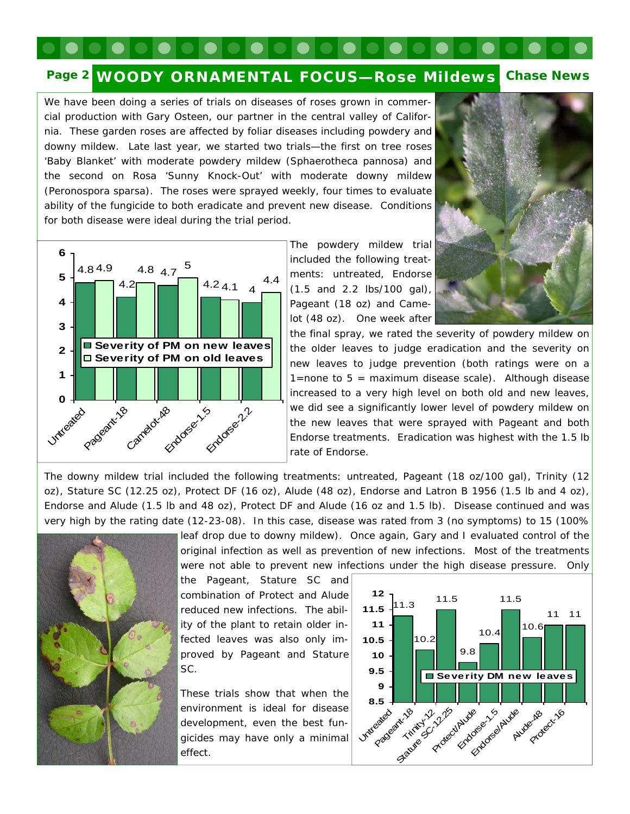### **Page 2 WOODY ORNAMENTAL FOCUS—Rose Mildews Chase News**

We have been doing a series of trials on diseases of roses grown in commercial production with Gary Osteen, our partner in the central valley of California. These garden roses are affected by foliar diseases including powdery and downy mildew. Late last year, we started two trials—the first on tree roses 'Baby Blanket' with moderate powdery mildew (*Sphaerotheca pannosa*) and the second on *Rosa* 'Sunny Knock-Out' with moderate downy mildew (*Peronospora sparsa*). The roses were sprayed weekly, four times to evaluate ability of the fungicide to both eradicate and prevent new disease. Conditions for both disease were ideal during the trial period.





The powdery mildew trial included the following treatments: untreated, Endorse (1.5 and 2.2 lbs/100 gal), Pageant (18 oz) and Camelot (48 oz). One week after

the final spray, we rated the severity of powdery mildew on the older leaves to judge eradication and the severity on new leaves to judge prevention (both ratings were on a 1=none to  $5 =$  maximum disease scale). Although disease increased to a very high level on both old and new leaves, we did see a significantly lower level of powdery mildew on the new leaves that were sprayed with Pageant and both Endorse treatments. Eradication was highest with the 1.5 lb rate of Endorse.

The downy mildew trial included the following treatments: untreated, Pageant (18 oz/100 gal), Trinity (12 oz), Stature SC (12.25 oz), Protect DF (16 oz), Alude (48 oz), Endorse and Latron B 1956 (1.5 lb and 4 oz), Endorse and Alude (1.5 lb and 48 oz), Protect DF and Alude (16 oz and 1.5 lb). Disease continued and was very high by the rating date (12-23-08). In this case, disease was rated from 3 (no symptoms) to 15 (100%



leaf drop due to downy mildew). Once again, Gary and I evaluated control of the original infection as well as prevention of new infections. Most of the treatments were not able to prevent new infections under the high disease pressure. Only

the Pageant, Stature SC and combination of Protect and Alude reduced new infections. The ability of the plant to retain older infected leaves was also only improved by Pageant and Stature SC.

These trials show that when the environment is ideal for disease development, even the best fungicides may have only a minimal effect.

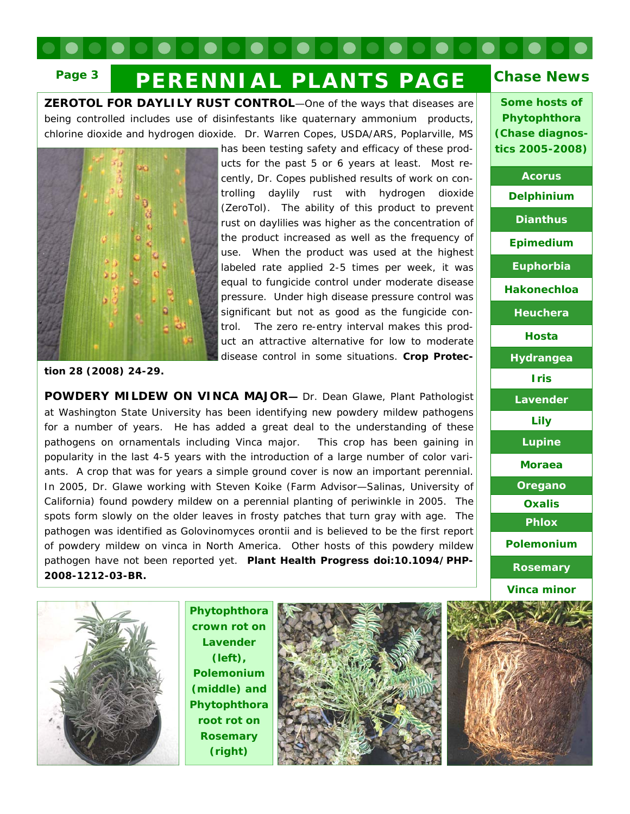# **Page 3** PERENNIAL PLANTS PAGE Chase News

being controlled includes use of disinfestants like quaternary ammonium products, **ZEROTOL FOR DAYLILY RUST CONTROL**—One of the ways that diseases are chlorine dioxide and hydrogen dioxide. Dr. Warren Copes, USDA/ARS, Poplarville, MS



has been testing safety and efficacy of these products for the past 5 or 6 years at least. Most recently, Dr. Copes published results of work on controlling daylily rust with hydrogen dioxide (ZeroTol). The ability of this product to prevent rust on daylilies was higher as the concentration of the product increased as well as the frequency of use. When the product was used at the highest labeled rate applied 2-5 times per week, it was equal to fungicide control under moderate disease pressure. Under high disease pressure control was significant but not as good as the fungicide control. The zero re-entry interval makes this product an attractive alternative for low to moderate disease control in some situations. **Crop Protec-**

**tion 28 (2008) 24-29.** 

of powdery mildew on vinca in North America. Other hosts of this powdery mildew **POWDERY MILDEW ON** *VINCA MAJOR***—** Dr. Dean Glawe, Plant Pathologist at Washington State University has been identifying new powdery mildew pathogens for a number of years. He has added a great deal to the understanding of these pathogens on ornamentals including *Vinca major.* This crop has been gaining in popularity in the last 4-5 years with the introduction of a large number of color variants. A crop that was for years a simple ground cover is now an important perennial. In 2005, Dr. Glawe working with Steven Koike (Farm Advisor—Salinas, University of California) found powdery mildew on a perennial planting of periwinkle in 2005. The spots form slowly on the older leaves in frosty patches that turn gray with age. The pathogen was identified as *Golovinomyces orontii* and is believed to be the first report pathogen have not been reported yet. **Plant Health Progress doi:10.1094/PHP-2008-1212-03-BR.**



**Acorus** 

**Some hosts of Phytophthora (Chase diagnostics 2005-2008)** 

**Delphinium** 

**Dianthus** 



**Phytophthora crown rot on Lavender (left), Polemonium (middle) and Phytophthora root rot on Rosemary (right)** 



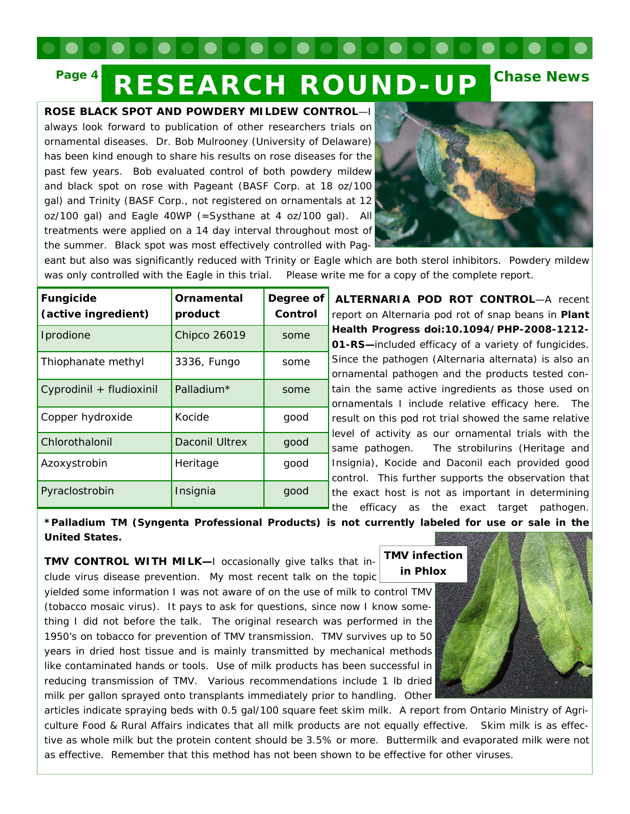### **Page 4 RESEARCH ROUND-UP Chase News**

### **ROSE BLACK SPOT AND POWDERY MILDEW CONTROL**—I

always look forward to publication of other researchers trials on ornamental diseases. Dr. Bob Mulrooney (University of Delaware) has been kind enough to share his results on rose diseases for the past few years. Bob evaluated control of both powdery mildew and black spot on rose with Pageant (BASF Corp. at 18 oz/100 gal) and Trinity (BASF Corp., not registered on ornamentals at 12 oz/100 gal) and Eagle 40WP (=Systhane at 4 oz/100 gal). All treatments were applied on a 14 day interval throughout most of the summer. Black spot was most effectively controlled with Pag-



eant but also was significantly reduced with Trinity or Eagle which are both sterol inhibitors. Powdery mildew was only controlled with the Eagle in this trial. Please write me for a copy of the complete report.

| <b>Fungicide</b><br>(active ingredient) | Ornamental<br>product | Degree of<br>Control |
|-----------------------------------------|-----------------------|----------------------|
| Iprodione                               | <b>Chipco 26019</b>   | some                 |
| Thiophanate methyl                      | 3336, Fungo           | some                 |
| Cyprodinil + fludioxinil                | Palladium*            | some                 |
| Copper hydroxide                        | Kocide                | good                 |
| Chlorothalonil                          | <b>Daconil Ultrex</b> | good                 |
| Azoxystrobin                            | Heritage              | good                 |
| Pyraclostrobin                          | Insignia              | good                 |

**ALTERNARIA POD ROT CONTROL**—A recent report on Alternaria pod rot of snap beans in **Plant Health Progress doi:10.1094/PHP-2008-1212- 01-RS—**included efficacy of a variety of fungicides. Since the pathogen (*Alternaria alternata*) is also an ornamental pathogen and the products tested contain the same active ingredients as those used on ornamentals I include relative efficacy here. The result on this pod rot trial showed the same relative evel of activity as our ornamental trials with the same pathogen. The strobilurins (Heritage and nsignia), Kocide and Daconil each provided good control. This further supports the observation that he exact host is not as important in determining the efficacy as the exact target pathogen.

**\*Palladium TM (Syngenta Professional Products) is not currently labeled for use or sale in the United States.** 

**TMV CONTROL WITH MILK—**I occasionally give talks that include virus disease prevention. My most recent talk on the topic yielded some information I was not aware of on the use of milk to control TMV (tobacco mosaic virus). It pays to ask for questions, since now I know something I did not before the talk. The original research was performed in the 1950's on tobacco for prevention of TMV transmission. TMV survives up to 50 years in dried host tissue and is mainly transmitted by mechanical methods like contaminated hands or tools. Use of milk products has been successful in reducing transmission of TMV. Various recommendations include 1 lb dried milk per gallon sprayed onto transplants immediately prior to handling. Other **in Phlox** 

**TMV infection** 

articles indicate spraying beds with 0.5 gal/100 square feet skim milk. A report from Ontario Ministry of Agriculture Food & Rural Affairs indicates that all milk products are not equally effective. Skim milk is as effective as whole milk but the protein content should be 3.5% or more. Buttermilk and evaporated milk were not as effective. Remember that this method has not been shown to be effective for other viruses.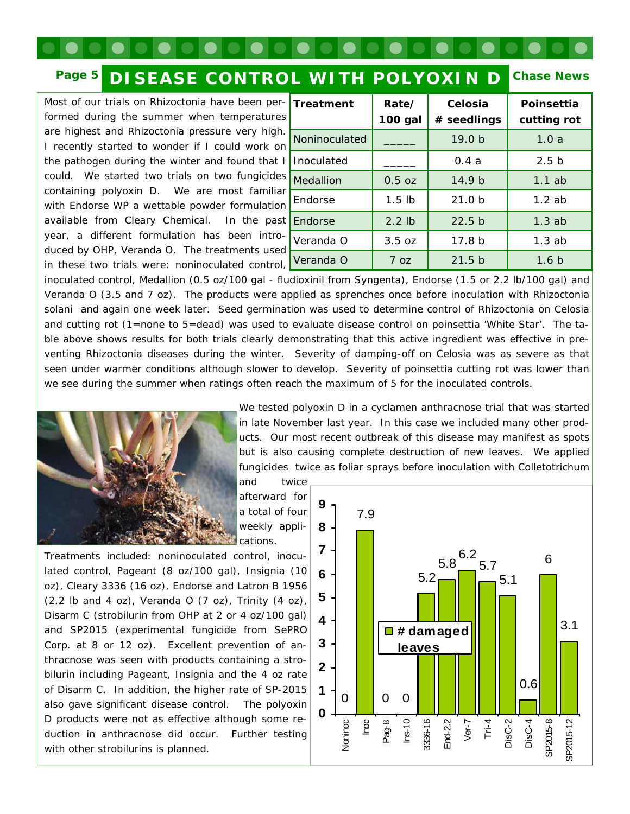## **Page 5 DISEASE CONTROL WITH POLYOXIN D**

Most of our trials on Rhizoctonia have been per- $\mathbf{r}$ formed during the summer when temperatures are highest and Rhizoctonia pressure very high. I recently started to wonder if I could work on the pathogen during the winter and found that  $\frac{1}{1}$ could. We started two trials on two fungicides  $\bigcup_{\mathbf{M}}$ containing polyoxin D. We are most familiar with Endorse WP a wettable powder formulation available from Cleary Chemical. In the past E year, a different formulation has been introduced by OHP, Veranda O. The treatments used in these two trials were: noninoculated control,  $\boxed{V}$ 

| Treatment     | Rate/<br>100 gal  | Celosia<br># seedlings | Poinsettia<br>cutting rot |
|---------------|-------------------|------------------------|---------------------------|
| Noninoculated |                   | 19.0 <sub>b</sub>      | 1.0a                      |
| Inoculated    |                   | 0.4a                   | 2.5 <sub>b</sub>          |
| Medallion     | $0.5$ oz          | 14.9 <sub>b</sub>      | 1.1ab                     |
| Endorse       | 1.5 <sub>1b</sub> | 21.0 <sub>b</sub>      | $1.2$ ab                  |
| Endorse       | $2.2$ lb          | 22.5 <sub>b</sub>      | 1.3ab                     |
| Veranda O     | 3.5 oz            | 17.8 <sub>b</sub>      | 1.3ab                     |
| Veranda O     | 7 oz              | 21.5 <sub>b</sub>      | 1.6 <sub>b</sub>          |

**Chase News** 

inoculated control, Medallion (0.5 oz/100 gal - fludioxinil from Syngenta), Endorse (1.5 or 2.2 lb/100 gal) and Veranda O (3.5 and 7 oz). The products were applied as sprenches once before inoculation with *Rhizoctonia solani* and again one week later. Seed germination was used to determine control of Rhizoctonia on Celosia and cutting rot (1=none to 5=dead) was used to evaluate disease control on poinsettia 'White Star'. The table above shows results for both trials clearly demonstrating that this active ingredient was effective in preventing Rhizoctonia diseases during the winter. Severity of damping-off on Celosia was as severe as that seen under warmer conditions although slower to develop. Severity of poinsettia cutting rot was lower than we see during the summer when ratings often reach the maximum of 5 for the inoculated controls.



We tested polyoxin D in a cyclamen anthracnose trial that was started in late November last year. In this case we included many other products. Our most recent outbreak of this disease may manifest as spots but is also causing complete destruction of new leaves. We applied fungicides twice as foliar sprays before inoculation with Colletotrichum

and twice afterward for a total of four weekly applications.

Treatments included: noninoculated control, inoculated control, Pageant (8 oz/100 gal), Insignia (10 oz), Cleary 3336 (16 oz), Endorse and Latron B 1956  $(2.2$  lb and 4 oz), Veranda O  $(7$  oz), Trinity  $(4$  oz), Disarm C (strobilurin from OHP at 2 or 4 oz/100 gal) and SP2015 (experimental fungicide from SePRO Corp. at 8 or 12 oz). Excellent prevention of anthracnose was seen with products containing a strobilurin including Pageant, Insignia and the 4 oz rate of Disarm C. In addition, the higher rate of SP-2015 also gave significant disease control. The polyoxin D products were not as effective although some reduction in anthracnose did occur. Further testing with other strobilurins is planned.